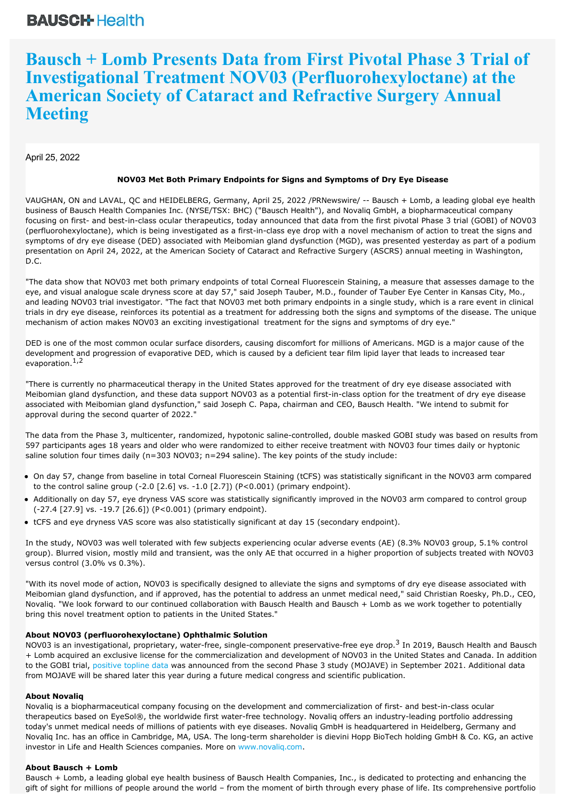### **BAUSCH-Health**

## **Bausch + Lomb Presents Data from First Pivotal Phase 3 Trial of Investigational Treatment NOV03 (Perfluorohexyloctane) at the American Society of Cataract and Refractive Surgery Annual Meeting**

April 25, 2022

#### **NOV03 Met Both Primary Endpoints for Signs and Symptoms of Dry Eye Disease**

VAUGHAN, ON and LAVAL, QC and HEIDELBERG, Germany, April 25, 2022 /PRNewswire/ -- Bausch + Lomb, a leading global eye health business of Bausch Health Companies Inc. (NYSE/TSX: BHC) ("Bausch Health"), and Novaliq GmbH, a biopharmaceutical company focusing on first- and best-in-class ocular therapeutics, today announced that data from the first pivotal Phase 3 trial (GOBI) of NOV03 (perfluorohexyloctane), which is being investigated as a first-in-class eye drop with a novel mechanism of action to treat the signs and symptoms of dry eye disease (DED) associated with Meibomian gland dysfunction (MGD), was presented yesterday as part of a podium presentation on April 24, 2022, at the American Society of Cataract and Refractive Surgery (ASCRS) annual meeting in Washington, D.C.

"The data show that NOV03 met both primary endpoints of total Corneal Fluorescein Staining, a measure that assesses damage to the eye, and visual analogue scale dryness score at day 57," said Joseph Tauber, M.D., founder of Tauber Eye Center in Kansas City, Mo., and leading NOV03 trial investigator. "The fact that NOV03 met both primary endpoints in a single study, which is a rare event in clinical trials in dry eye disease, reinforces its potential as a treatment for addressing both the signs and symptoms of the disease. The unique mechanism of action makes NOV03 an exciting investigational treatment for the signs and symptoms of dry eye."

DED is one of the most common ocular surface disorders, causing discomfort for millions of Americans. MGD is a major cause of the development and progression of evaporative DED, which is caused by a deficient tear film lipid layer that leads to increased tear evaporation.<sup>1,2</sup>

"There is currently no pharmaceutical therapy in the United States approved for the treatment of dry eye disease associated with Meibomian gland dysfunction, and these data support NOV03 as a potential first-in-class option for the treatment of dry eye disease associated with Meibomian gland dysfunction," said Joseph C. Papa, chairman and CEO, Bausch Health. "We intend to submit for approval during the second quarter of 2022."

The data from the Phase 3, multicenter, randomized, hypotonic saline-controlled, double masked GOBI study was based on results from 597 participants ages 18 years and older who were randomized to either receive treatment with NOV03 four times daily or hyptonic saline solution four times daily (n=303 NOV03; n=294 saline). The key points of the study include:

- On day 57, change from baseline in total Corneal Fluorescein Staining (tCFS) was statistically significant in the NOV03 arm compared to the control saline group (-2.0 [2.6] vs. -1.0 [2.7]) (P<0.001) (primary endpoint).
- Additionally on day 57, eye dryness VAS score was statistically significantly improved in the NOV03 arm compared to control group (-27.4 [27.9] vs. -19.7 [26.6]) (P<0.001) (primary endpoint).
- tCFS and eye dryness VAS score was also statistically significant at day 15 (secondary endpoint).

In the study, NOV03 was well tolerated with few subjects experiencing ocular adverse events (AE) (8.3% NOV03 group, 5.1% control group). Blurred vision, mostly mild and transient, was the only AE that occurred in a higher proportion of subjects treated with NOV03 versus control (3.0% vs 0.3%).

"With its novel mode of action, NOV03 is specifically designed to alleviate the signs and symptoms of dry eye disease associated with Meibomian gland dysfunction, and if approved, has the potential to address an unmet medical need," said Christian Roesky, Ph.D., CEO, Novaliq. "We look forward to our continued collaboration with Bausch Health and Bausch + Lomb as we work together to potentially bring this novel treatment option to patients in the United States."

#### **About NOV03 (perfluorohexyloctane) Ophthalmic Solution**

NOV03 is an investigational, proprietary, water-free, single-component preservative-free eye drop.<sup>3</sup> In 2019, Bausch Health and Bausch + Lomb acquired an exclusive license for the commercialization and development of NOV03 in the United States and Canada. In addition to the GOBI trial, [positive topline data](https://c212.net/c/link/?t=0&l=en&o=3513308-1&h=2317595303&u=https%3A%2F%2Fir.bauschhealth.com%2Fnews-releases%2F2021%2F09-30-2021-115908876&a=positive+topline+data) was announced from the second Phase 3 study (MOJAVE) in September 2021. Additional data from MOJAVE will be shared later this year during a future medical congress and scientific publication.

#### **About Novaliq**

Novaliq is a biopharmaceutical company focusing on the development and commercialization of first- and best-in-class ocular therapeutics based on EyeSol®, the worldwide first water-free technology. Novaliq offers an industry-leading portfolio addressing today's unmet medical needs of millions of patients with eye diseases. Novaliq GmbH is headquartered in Heidelberg, Germany and Novaliq Inc. has an office in Cambridge, MA, USA. The long-term shareholder is dievini Hopp BioTech holding GmbH & Co. KG, an active investor in Life and Health Sciences companies. More on [www.novaliq.com](https://c212.net/c/link/?t=0&l=en&o=3513308-1&h=4265688321&u=http%3A%2F%2Fwww.novaliq.com%2F&a=www.novaliq.com).

#### **About Bausch + Lomb**

Bausch + Lomb, a leading global eye health business of Bausch Health Companies, Inc., is dedicated to protecting and enhancing the gift of sight for millions of people around the world – from the moment of birth through every phase of life. Its comprehensive portfolio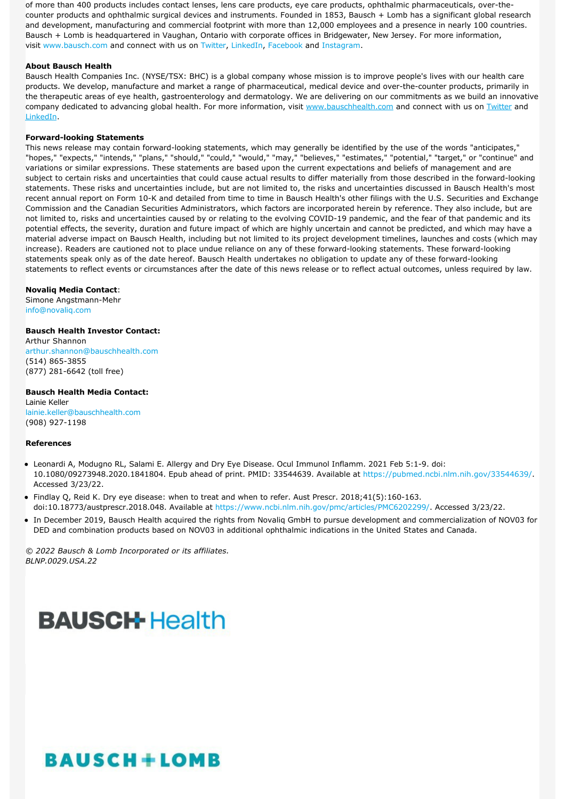of more than 400 products includes contact lenses, lens care products, eye care products, ophthalmic pharmaceuticals, over-thecounter products and ophthalmic surgical devices and instruments. Founded in 1853, Bausch + Lomb has a significant global research and development, manufacturing and commercial footprint with more than 12,000 employees and a presence in nearly 100 countries. Bausch + Lomb is headquartered in Vaughan, Ontario with corporate offices in Bridgewater, New Jersey. For more information, visit [www.bausch.com](https://c212.net/c/link/?t=0&l=en&o=3513308-1&h=393878141&u=https%3A%2F%2Fwww.bausch.com%2F&a=www.bausch.com) and connect with us on [Twitter,](https://c212.net/c/link/?t=0&l=en&o=3513308-1&h=1666483172&u=https%3A%2F%2Ftwitter.com%2FBauschLomb&a=Twitter) [LinkedIn,](https://c212.net/c/link/?t=0&l=en&o=3513308-1&h=1761172720&u=https%3A%2F%2Fwww.linkedin.com%2Fcompany%2F5185%2Fadmin%2F&a=LinkedIn) [Facebook](https://c212.net/c/link/?t=0&l=en&o=3513308-1&h=3199978629&u=https%3A%2F%2Fwww.facebook.com%2FBauschandLomb&a=Facebook) and [Instagram](https://c212.net/c/link/?t=0&l=en&o=3513308-1&h=3637298929&u=https%3A%2F%2Fwww.instagram.com%2Fbauschlomb%2F%3Fhl%3Den&a=Instagram).

#### **About Bausch Health**

Bausch Health Companies Inc. (NYSE/TSX: BHC) is a global company whose mission is to improve people's lives with our health care products. We develop, manufacture and market a range of pharmaceutical, medical device and over-the-counter products, primarily in the therapeutic areas of eye health, gastroenterology and dermatology. We are delivering on our commitments as we build an innovative company dedicated to advancing global health. For more information, visit [www.bauschhealth.com](https://c212.net/c/link/?t=0&l=en&o=3513308-1&h=3460972755&u=http%3A%2F%2Fwww.bauschhealth.com%2F&a=www.bauschhealth.com) and connect with us on [Twitter](https://c212.net/c/link/?t=0&l=en&o=3513308-1&h=3765885930&u=https%3A%2F%2Fprotection.greathorn.com%2Fservices%2Fv2%2FlookupUrl%2F3a993f8b-386a-427c-a0f1-18f48c322e3f%2F176%2F346a3d3d25687a8224d1fde913756b5b76e661bb&a=Twitter) and [LinkedIn.](https://c212.net/c/link/?t=0&l=en&o=3513308-1&h=2625401636&u=https%3A%2F%2Fprotection.greathorn.com%2Fservices%2Fv2%2FlookupUrl%2F3e4f5930-dc8f-4dc1-a5a8-8b7aa3b5fd08%2F176%2F346a3d3d25687a8224d1fde913756b5b76e661bb&a=LinkedIn)

#### **Forward-looking Statements**

This news release may contain forward-looking statements, which may generally be identified by the use of the words "anticipates," "hopes," "expects," "intends," "plans," "should," "could," "would," "may," "believes," "estimates," "potential," "target," or "continue" and variations or similar expressions. These statements are based upon the current expectations and beliefs of management and are subject to certain risks and uncertainties that could cause actual results to differ materially from those described in the forward-looking statements. These risks and uncertainties include, but are not limited to, the risks and uncertainties discussed in Bausch Health's most recent annual report on Form 10-K and detailed from time to time in Bausch Health's other filings with the U.S. Securities and Exchange Commission and the Canadian Securities Administrators, which factors are incorporated herein by reference. They also include, but are not limited to, risks and uncertainties caused by or relating to the evolving COVID-19 pandemic, and the fear of that pandemic and its potential effects, the severity, duration and future impact of which are highly uncertain and cannot be predicted, and which may have a material adverse impact on Bausch Health, including but not limited to its project development timelines, launches and costs (which may increase). Readers are cautioned not to place undue reliance on any of these forward-looking statements. These forward-looking statements speak only as of the date hereof. Bausch Health undertakes no obligation to update any of these forward-looking statements to reflect events or circumstances after the date of this news release or to reflect actual outcomes, unless required by law.

#### **Novaliq Media Contact**:

Simone Angstmann-Mehr [info@novaliq.com](mailto:info@novaliq.com)

#### **Bausch Health Investor Contact:** Arthur Shannon [arthur.shannon@bauschhealth.com](mailto:arthur.shannon@bauschhealth.com) (514) 865-3855

(877) 281-6642 (toll free)

#### **Bausch Health Media Contact:**

Lainie Keller [lainie.keller@bauschhealth.com](mailto:lainie.keller@bauschhealth.com) (908) 927-1198

#### **References**

- Leonardi A, Modugno RL, Salami E. Allergy and Dry Eye Disease. Ocul Immunol Inflamm. 2021 Feb 5:1-9. doi: 10.1080/09273948.2020.1841804. Epub ahead of print. PMID: 33544639. Available at [https://pubmed.ncbi.nlm.nih.gov/33544639/](https://c212.net/c/link/?t=0&l=en&o=3513308-1&h=306259462&u=https%3A%2F%2Fpubmed.ncbi.nlm.nih.gov%2F33544639%2F&a=https%3A%2F%2Fpubmed.ncbi.nlm.nih.gov%2F33544639%2F). Accessed 3/23/22.
- Findlay Q, Reid K. Dry eye disease: when to treat and when to refer. Aust Prescr. 2018;41(5):160-163. doi:10.18773/austprescr.2018.048. Available at [https://www.ncbi.nlm.nih.gov/pmc/articles/PMC6202299/](https://c212.net/c/link/?t=0&l=en&o=3513308-1&h=1814547069&u=https%3A%2F%2Fwww.ncbi.nlm.nih.gov%2Fpmc%2Farticles%2FPMC6202299%2F&a=https%3A%2F%2Fwww.ncbi.nlm.nih.gov%2Fpmc%2Farticles%2FPMC6202299%2F). Accessed 3/23/22.
- In December 2019, Bausch Health acquired the rights from Novaliq GmbH to pursue development and commercialization of NOV03 for DED and combination products based on NOV03 in additional ophthalmic indications in the United States and Canada.

*© 2022 Bausch & Lomb Incorporated or its affiliates. BLNP.0029.USA.22*

# **BAUSCH-Health**

## **BAUSCH+LOMB**